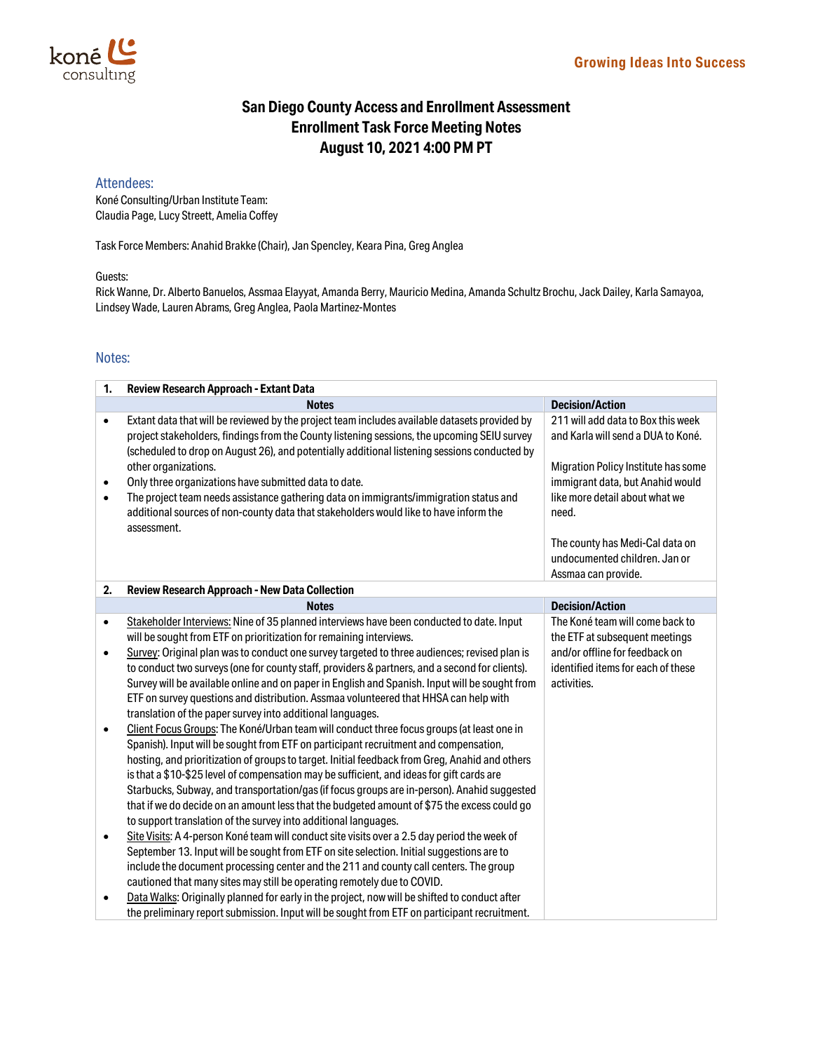

# **San Diego County Access and Enrollment Assessment Enrollment Task Force Meeting Notes August 10, 2021 4:00 PM PT**

### Attendees:

Koné Consulting/Urban Institute Team: Claudia Page, Lucy Streett, Amelia Coffey

Task Force Members: Anahid Brakke (Chair), Jan Spencley, Keara Pina, Greg Anglea

#### Guests:

Rick Wanne, Dr. Alberto Banuelos, Assmaa Elayyat, Amanda Berry, Mauricio Medina, Amanda Schultz Brochu, Jack Dailey, Karla Samayoa, Lindsey Wade, Lauren Abrams, Greg Anglea, Paola Martinez-Montes

## Notes:

| 1.        | Review Research Approach - Extant Data                                                                                                                                                                                                                                                       |                                                                          |  |
|-----------|----------------------------------------------------------------------------------------------------------------------------------------------------------------------------------------------------------------------------------------------------------------------------------------------|--------------------------------------------------------------------------|--|
|           | <b>Notes</b>                                                                                                                                                                                                                                                                                 | <b>Decision/Action</b>                                                   |  |
| $\bullet$ | Extant data that will be reviewed by the project team includes available datasets provided by<br>project stakeholders, findings from the County listening sessions, the upcoming SEIU survey<br>(scheduled to drop on August 26), and potentially additional listening sessions conducted by | 211 will add data to Box this week<br>and Karla will send a DUA to Koné. |  |
|           | other organizations.                                                                                                                                                                                                                                                                         | Migration Policy Institute has some                                      |  |
| ٠         | Only three organizations have submitted data to date.                                                                                                                                                                                                                                        | immigrant data, but Anahid would                                         |  |
| $\bullet$ | The project team needs assistance gathering data on immigrants/immigration status and<br>additional sources of non-county data that stakeholders would like to have inform the<br>assessment.                                                                                                | like more detail about what we<br>need.                                  |  |
|           |                                                                                                                                                                                                                                                                                              | The county has Medi-Cal data on                                          |  |
|           |                                                                                                                                                                                                                                                                                              | undocumented children. Jan or                                            |  |
|           |                                                                                                                                                                                                                                                                                              | Assmaa can provide.                                                      |  |
| 2.        | Review Research Approach - New Data Collection                                                                                                                                                                                                                                               |                                                                          |  |
|           | <b>Notes</b>                                                                                                                                                                                                                                                                                 | <b>Decision/Action</b>                                                   |  |
| $\bullet$ | Stakeholder Interviews: Nine of 35 planned interviews have been conducted to date. Input                                                                                                                                                                                                     | The Koné team will come back to                                          |  |
|           | will be sought from ETF on prioritization for remaining interviews.                                                                                                                                                                                                                          | the ETF at subsequent meetings                                           |  |
| $\bullet$ | Survey: Original plan was to conduct one survey targeted to three audiences; revised plan is                                                                                                                                                                                                 | and/or offline for feedback on                                           |  |
|           | to conduct two surveys (one for county staff, providers & partners, and a second for clients).                                                                                                                                                                                               | identified items for each of these                                       |  |
|           | Survey will be available online and on paper in English and Spanish. Input will be sought from                                                                                                                                                                                               | activities.                                                              |  |
|           | ETF on survey questions and distribution. Assmaa volunteered that HHSA can help with                                                                                                                                                                                                         |                                                                          |  |
|           | translation of the paper survey into additional languages.                                                                                                                                                                                                                                   |                                                                          |  |
| $\bullet$ | Client Focus Groups: The Koné/Urban team will conduct three focus groups (at least one in                                                                                                                                                                                                    |                                                                          |  |
|           | Spanish). Input will be sought from ETF on participant recruitment and compensation,                                                                                                                                                                                                         |                                                                          |  |
|           | hosting, and prioritization of groups to target. Initial feedback from Greg, Anahid and others                                                                                                                                                                                               |                                                                          |  |
|           | is that a \$10-\$25 level of compensation may be sufficient, and ideas for gift cards are                                                                                                                                                                                                    |                                                                          |  |
|           | Starbucks, Subway, and transportation/gas (if focus groups are in-person). Anahid suggested                                                                                                                                                                                                  |                                                                          |  |
|           | that if we do decide on an amount less that the budgeted amount of \$75 the excess could go                                                                                                                                                                                                  |                                                                          |  |
|           | to support translation of the survey into additional languages.                                                                                                                                                                                                                              |                                                                          |  |
| $\bullet$ | Site Visits: A 4-person Koné team will conduct site visits over a 2.5 day period the week of                                                                                                                                                                                                 |                                                                          |  |
|           | September 13. Input will be sought from ETF on site selection. Initial suggestions are to                                                                                                                                                                                                    |                                                                          |  |
|           | include the document processing center and the 211 and county call centers. The group                                                                                                                                                                                                        |                                                                          |  |
|           | cautioned that many sites may still be operating remotely due to COVID.                                                                                                                                                                                                                      |                                                                          |  |
| $\bullet$ | Data Walks: Originally planned for early in the project, now will be shifted to conduct after                                                                                                                                                                                                |                                                                          |  |
|           | the preliminary report submission. Input will be sought from ETF on participant recruitment.                                                                                                                                                                                                 |                                                                          |  |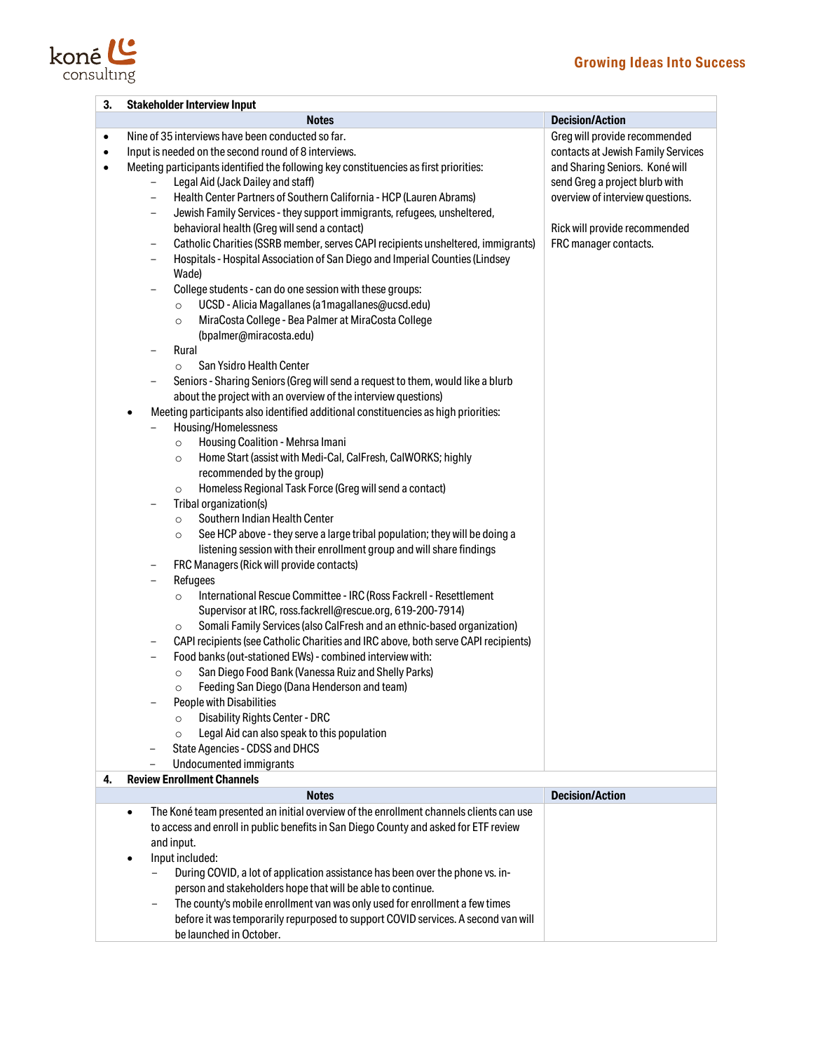# **Growing Ideas Into Success**



| <b>Stakeholder Interview Input</b><br><b>Notes</b><br>Nine of 35 interviews have been conducted so far.<br>Input is needed on the second round of 8 interviews.<br>Meeting participants identified the following key constituencies as first priorities:<br>Legal Aid (Jack Dailey and staff)<br>-<br>Health Center Partners of Southern California - HCP (Lauren Abrams)<br>-<br>Jewish Family Services - they support immigrants, refugees, unsheltered,<br>-<br>behavioral health (Greg will send a contact)<br>Catholic Charities (SSRB member, serves CAPI recipients unsheltered, immigrants)<br>-<br>Hospitals - Hospital Association of San Diego and Imperial Counties (Lindsey<br>-<br>Wade)<br>College students - can do one session with these groups:<br>-<br>UCSD - Alicia Magallanes (a1magallanes@ucsd.edu)<br>$\circ$<br>MiraCosta College - Bea Palmer at MiraCosta College<br>$\circ$<br>(bpalmer@miracosta.edu)<br>Rural<br>$\overline{\phantom{0}}$<br>San Ysidro Health Center<br>$\circ$<br>Seniors - Sharing Seniors (Greg will send a request to them, would like a blurb<br>-                                                                                                                                                                                                                                                                                                                                                   | <b>Decision/Action</b><br>Greg will provide recommended<br>contacts at Jewish Family Services<br>and Sharing Seniors. Koné will<br>send Greg a project blurb with<br>overview of interview questions.<br>Rick will provide recommended<br>FRC manager contacts.                                                                                                                        |
|-----------------------------------------------------------------------------------------------------------------------------------------------------------------------------------------------------------------------------------------------------------------------------------------------------------------------------------------------------------------------------------------------------------------------------------------------------------------------------------------------------------------------------------------------------------------------------------------------------------------------------------------------------------------------------------------------------------------------------------------------------------------------------------------------------------------------------------------------------------------------------------------------------------------------------------------------------------------------------------------------------------------------------------------------------------------------------------------------------------------------------------------------------------------------------------------------------------------------------------------------------------------------------------------------------------------------------------------------------------------------------------------------------------------------------------------------------------|----------------------------------------------------------------------------------------------------------------------------------------------------------------------------------------------------------------------------------------------------------------------------------------------------------------------------------------------------------------------------------------|
|                                                                                                                                                                                                                                                                                                                                                                                                                                                                                                                                                                                                                                                                                                                                                                                                                                                                                                                                                                                                                                                                                                                                                                                                                                                                                                                                                                                                                                                           |                                                                                                                                                                                                                                                                                                                                                                                        |
| about the project with an overview of the interview questions)<br>Meeting participants also identified additional constituencies as high priorities:<br>Housing/Homelessness<br>-<br>Housing Coalition - Mehrsa Imani<br>$\circ$<br>Home Start (assist with Medi-Cal, CalFresh, CalWORKS; highly<br>$\circ$<br>recommended by the group)<br>Homeless Regional Task Force (Greg will send a contact)<br>$\circ$<br>Tribal organization(s)<br>Southern Indian Health Center<br>$\circ$<br>See HCP above - they serve a large tribal population; they will be doing a<br>$\circ$<br>listening session with their enrollment group and will share findings<br>FRC Managers (Rick will provide contacts)<br>-<br>Refugees<br>-<br>International Rescue Committee - IRC (Ross Fackrell - Resettlement<br>$\circ$<br>Supervisor at IRC, ross.fackrell@rescue.org, 619-200-7914)<br>Somali Family Services (also CalFresh and an ethnic-based organization)<br>$\circ$<br>CAPI recipients (see Catholic Charities and IRC above, both serve CAPI recipients)<br>$\qquad \qquad -$<br>Food banks (out-stationed EWs) - combined interview with:<br>San Diego Food Bank (Vanessa Ruiz and Shelly Parks)<br>O<br>Feeding San Diego (Dana Henderson and team)<br>People with Disabilities<br><b>Disability Rights Center - DRC</b><br>$\circ$<br>Legal Aid can also speak to this population<br>$\circ$<br>State Agencies - CDSS and DHCS<br>$\overline{\phantom{a}}$ |                                                                                                                                                                                                                                                                                                                                                                                        |
| <b>Review Enrollment Channels</b>                                                                                                                                                                                                                                                                                                                                                                                                                                                                                                                                                                                                                                                                                                                                                                                                                                                                                                                                                                                                                                                                                                                                                                                                                                                                                                                                                                                                                         |                                                                                                                                                                                                                                                                                                                                                                                        |
|                                                                                                                                                                                                                                                                                                                                                                                                                                                                                                                                                                                                                                                                                                                                                                                                                                                                                                                                                                                                                                                                                                                                                                                                                                                                                                                                                                                                                                                           | <b>Decision/Action</b>                                                                                                                                                                                                                                                                                                                                                                 |
| to access and enroll in public benefits in San Diego County and asked for ETF review<br>and input.<br>Input included:<br>$\bullet$<br>During COVID, a lot of application assistance has been over the phone vs. in-                                                                                                                                                                                                                                                                                                                                                                                                                                                                                                                                                                                                                                                                                                                                                                                                                                                                                                                                                                                                                                                                                                                                                                                                                                       |                                                                                                                                                                                                                                                                                                                                                                                        |
|                                                                                                                                                                                                                                                                                                                                                                                                                                                                                                                                                                                                                                                                                                                                                                                                                                                                                                                                                                                                                                                                                                                                                                                                                                                                                                                                                                                                                                                           | Undocumented immigrants<br><b>Notes</b><br>The Koné team presented an initial overview of the enrollment channels clients can use<br>$\bullet$<br>person and stakeholders hope that will be able to continue.<br>The county's mobile enrollment van was only used for enrollment a few times<br>-<br>before it was temporarily repurposed to support COVID services. A second van will |